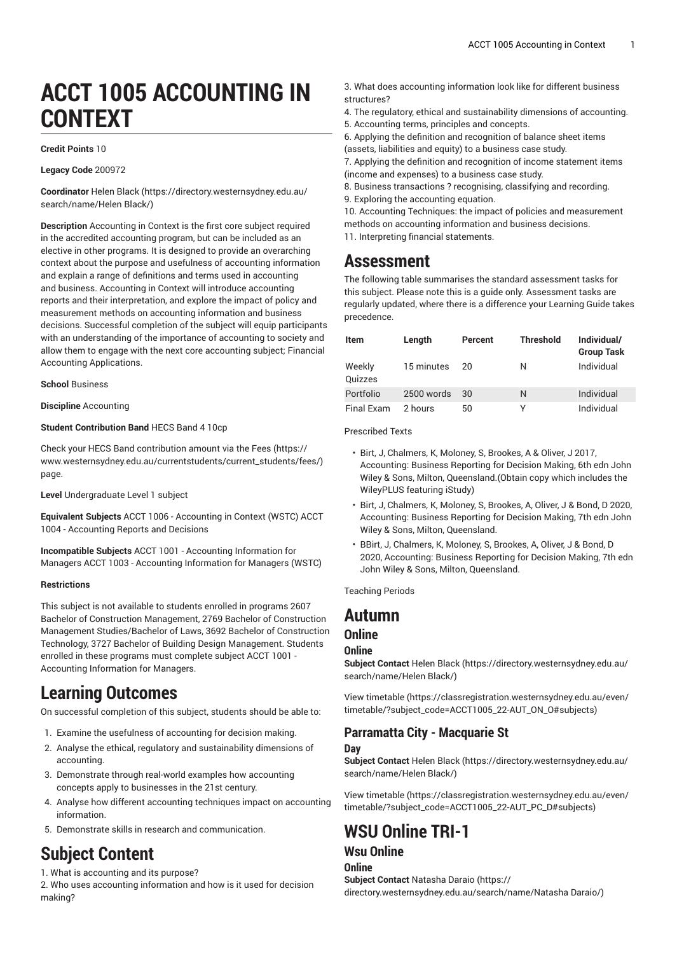# **ACCT 1005 ACCOUNTING IN CONTEXT**

#### **Credit Points** 10

#### **Legacy Code** 200972

**Coordinator** [Helen Black](https://directory.westernsydney.edu.au/search/name/Helen Black/) ([https://directory.westernsydney.edu.au/](https://directory.westernsydney.edu.au/search/name/Helen Black/) [search/name/Helen](https://directory.westernsydney.edu.au/search/name/Helen Black/) Black/)

**Description** Accounting in Context is the first core subject required in the accredited accounting program, but can be included as an elective in other programs. It is designed to provide an overarching context about the purpose and usefulness of accounting information and explain a range of definitions and terms used in accounting and business. Accounting in Context will introduce accounting reports and their interpretation, and explore the impact of policy and measurement methods on accounting information and business decisions. Successful completion of the subject will equip participants with an understanding of the importance of accounting to society and allow them to engage with the next core accounting subject; Financial Accounting Applications.

**School** Business

**Discipline** Accounting

#### **Student Contribution Band** HECS Band 4 10cp

Check your HECS Band contribution amount via the [Fees \(https://](https://www.westernsydney.edu.au/currentstudents/current_students/fees/) [www.westernsydney.edu.au/currentstudents/current\\_students/fees/\)](https://www.westernsydney.edu.au/currentstudents/current_students/fees/) page.

**Level** Undergraduate Level 1 subject

**Equivalent Subjects** [ACCT](/search/?P=ACCT%201006) 1006 - Accounting in Context (WSTC) ACCT 1004 - Accounting Reports and Decisions

**Incompatible Subjects** [ACCT](/search/?P=ACCT%201001) 1001 - Accounting Information for Managers [ACCT](/search/?P=ACCT%201003) 1003 - Accounting Information for Managers (WSTC)

#### **Restrictions**

This subject is not available to students enrolled in programs 2607 Bachelor of Construction Management, 2769 Bachelor of Construction Management Studies/Bachelor of Laws, 3692 Bachelor of Construction Technology, 3727 Bachelor of Building Design Management. Students enrolled in these programs must complete subject ACCT 1001 - Accounting Information for Managers.

### **Learning Outcomes**

On successful completion of this subject, students should be able to:

- 1. Examine the usefulness of accounting for decision making.
- 2. Analyse the ethical, regulatory and sustainability dimensions of accounting.
- 3. Demonstrate through real-world examples how accounting concepts apply to businesses in the 21st century.
- 4. Analyse how different accounting techniques impact on accounting information.
- 5. Demonstrate skills in research and communication.

### **Subject Content**

1. What is accounting and its purpose?

2. Who uses accounting information and how is it used for decision making?

- 3. What does accounting information look like for different business structures?
- 4. The regulatory, ethical and sustainability dimensions of accounting.
- 5. Accounting terms, principles and concepts.
- 6. Applying the definition and recognition of balance sheet items (assets, liabilities and equity) to a business case study.
- 7. Applying the definition and recognition of income statement items
- (income and expenses) to a business case study.
- 8. Business transactions ? recognising, classifying and recording. 9. Exploring the accounting equation.

10. Accounting Techniques: the impact of policies and measurement methods on accounting information and business decisions. 11. Interpreting financial statements.

### **Assessment**

The following table summarises the standard assessment tasks for this subject. Please note this is a guide only. Assessment tasks are regularly updated, where there is a difference your Learning Guide takes precedence.

| <b>Item</b>       | Length     | Percent | <b>Threshold</b> | Individual/<br><b>Group Task</b> |
|-------------------|------------|---------|------------------|----------------------------------|
| Weekly<br>Quizzes | 15 minutes | 20      | N                | Individual                       |
| Portfolio         | 2500 words | 30      | N                | Individual                       |
| <b>Final Exam</b> | 2 hours    | 50      | v                | Individual                       |

Prescribed Texts

- Birt, J, Chalmers, K, Moloney, S, Brookes, A & Oliver, J 2017, Accounting: Business Reporting for Decision Making, 6th edn John Wiley & Sons, Milton, Queensland.(Obtain copy which includes the WileyPLUS featuring iStudy)
- Birt, J, Chalmers, K, Moloney, S, Brookes, A, Oliver, J & Bond, D 2020, Accounting: Business Reporting for Decision Making, 7th edn John Wiley & Sons, Milton, Queensland.
- BBirt, J, Chalmers, K, Moloney, S, Brookes, A, Oliver, J & Bond, D 2020, Accounting: Business Reporting for Decision Making, 7th edn John Wiley & Sons, Milton, Queensland.

Teaching Periods

### **Autumn**

### **Online**

#### **Online**

**Subject Contact** [Helen Black](https://directory.westernsydney.edu.au/search/name/Helen Black/) ([https://directory.westernsydney.edu.au/](https://directory.westernsydney.edu.au/search/name/Helen Black/) [search/name/Helen](https://directory.westernsydney.edu.au/search/name/Helen Black/) Black/)

[View timetable](https://classregistration.westernsydney.edu.au/even/timetable/?subject_code=ACCT1005_22-AUT_ON_O#subjects) [\(https://classregistration.westernsydney.edu.au/even/](https://classregistration.westernsydney.edu.au/even/timetable/?subject_code=ACCT1005_22-AUT_ON_O#subjects) [timetable/?subject\\_code=ACCT1005\\_22-AUT\\_ON\\_O#subjects\)](https://classregistration.westernsydney.edu.au/even/timetable/?subject_code=ACCT1005_22-AUT_ON_O#subjects)

#### **Parramatta City - Macquarie St Day**

**Subject Contact** [Helen Black](https://directory.westernsydney.edu.au/search/name/Helen Black/) ([https://directory.westernsydney.edu.au/](https://directory.westernsydney.edu.au/search/name/Helen Black/) [search/name/Helen](https://directory.westernsydney.edu.au/search/name/Helen Black/) Black/)

[View timetable](https://classregistration.westernsydney.edu.au/even/timetable/?subject_code=ACCT1005_22-AUT_PC_D#subjects) [\(https://classregistration.westernsydney.edu.au/even/](https://classregistration.westernsydney.edu.au/even/timetable/?subject_code=ACCT1005_22-AUT_PC_D#subjects) [timetable/?subject\\_code=ACCT1005\\_22-AUT\\_PC\\_D#subjects\)](https://classregistration.westernsydney.edu.au/even/timetable/?subject_code=ACCT1005_22-AUT_PC_D#subjects)

# **WSU Online TRI-1**

### **Wsu Online**

**Online Subject Contact** [Natasha Daraio](https://directory.westernsydney.edu.au/search/name/Natasha Daraio/) [\(https://](https://directory.westernsydney.edu.au/search/name/Natasha Daraio/) [directory.westernsydney.edu.au/search/name/Natasha](https://directory.westernsydney.edu.au/search/name/Natasha Daraio/) Daraio/)